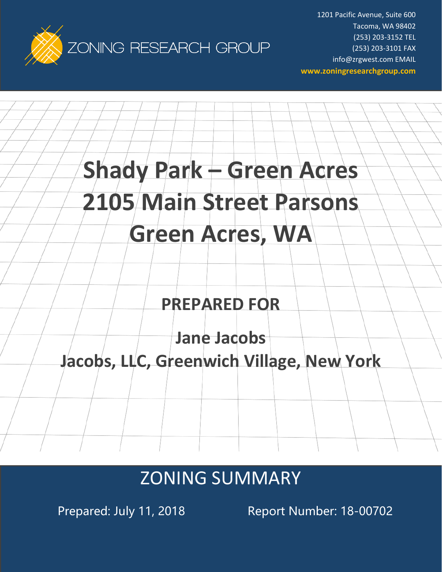

1201 Pacific Avenue, Suite 600 Tacoma, WA 98402 (253) 203-3152 TEL (253) 203-3101 FAX info@zrgwest.com EMAIL **www.zoningresearchgroup.com**

# **Green Acres, WA**

**Shady Park – Green Acres**

**2105 Main Street Parsons**

# **PREPARED FOR**

**Jane Jacobs**

# **Jacobs, LLC, Greenwich Village, New York**

# ZONING SUMMARY

Prepared: July 11, 2018 Report Number: 18-00702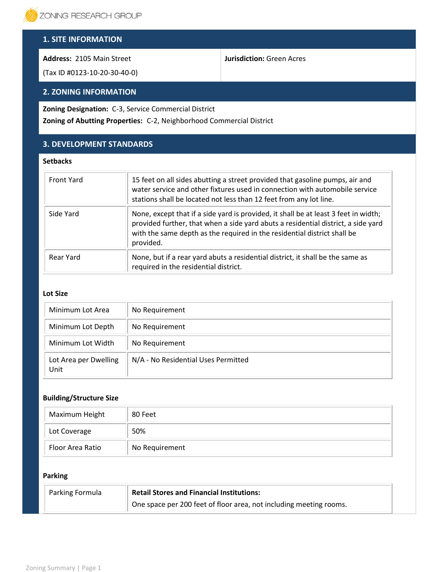

# **1. SITE INFORMATION**

**Address:** 2105 Main Street

(Tax ID #0123-10-20-30-40-0)

## **2. ZONING INFORMATION**

**Zoning Designation:** C-3, Service Commercial District

**Zoning of Abutting Properties:** C-2, Neighborhood Commercial District

# **3. DEVELOPMENT STANDARDS**

#### **Setbacks**

| <b>Front Yard</b> | 15 feet on all sides abutting a street provided that gasoline pumps, air and<br>water service and other fixtures used in connection with automobile service<br>stations shall be located not less than 12 feet from any lot line.                                 |
|-------------------|-------------------------------------------------------------------------------------------------------------------------------------------------------------------------------------------------------------------------------------------------------------------|
| Side Yard         | None, except that if a side yard is provided, it shall be at least 3 feet in width;<br>provided further, that when a side yard abuts a residential district, a side yard<br>with the same depth as the required in the residential district shall be<br>provided. |
| Rear Yard         | None, but if a rear yard abuts a residential district, it shall be the same as<br>required in the residential district.                                                                                                                                           |

**Jurisdiction:** Green Acres

#### **Lot Size**

| Minimum Lot Area              | No Requirement                      |
|-------------------------------|-------------------------------------|
| Minimum Lot Depth             | No Requirement                      |
| Minimum Lot Width             | No Requirement                      |
| Lot Area per Dwelling<br>Unit | N/A - No Residential Uses Permitted |

#### **Building/Structure Size**

| Maximum Height   | 80 Feet        |
|------------------|----------------|
| Lot Coverage     | 50%            |
| Floor Area Ratio | No Requirement |

### **Parking**

| Parking Formula | <b>Retail Stores and Financial Institutions:</b>                   |  |
|-----------------|--------------------------------------------------------------------|--|
|                 | One space per 200 feet of floor area, not including meeting rooms. |  |